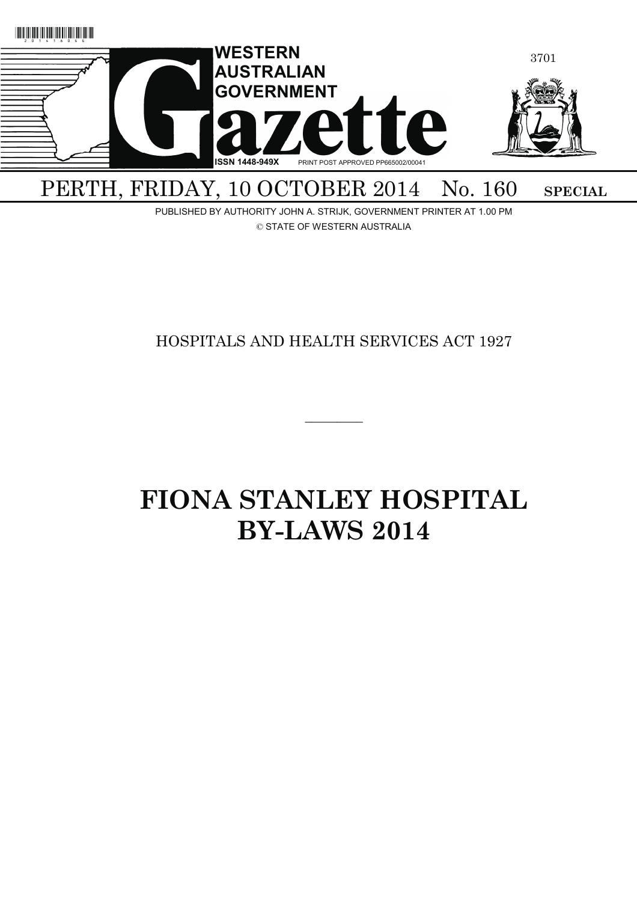

PUBLISHED BY AUTHORITY JOHN A. STRIJK, GOVERNMENT PRINTER AT 1.00 PM © STATE OF WESTERN AUSTRALIA

# HOSPITALS AND HEALTH SERVICES ACT 1927

 $\overline{\phantom{a}}$ 

# **FIONA STANLEY HOSPITAL BY-LAWS 2014**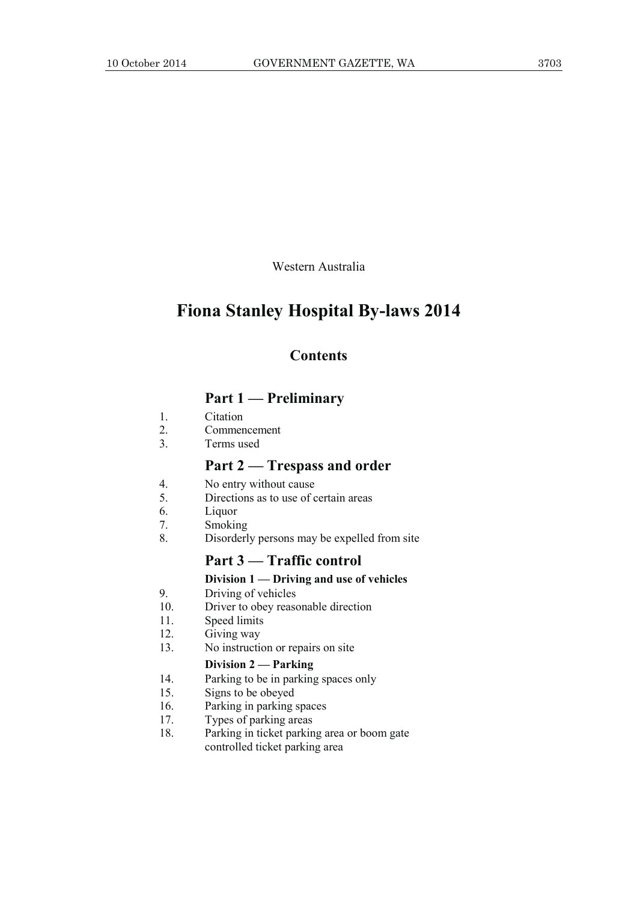Western Australia

# **Fiona Stanley Hospital By-laws 2014**

# **Contents**

# **Part 1 — Preliminary**

- 1. Citation
- 2. Commencement
- 3. Terms used

# **Part 2 — Trespass and order**

- 4. No entry without cause
- 5. Directions as to use of certain areas
- 6. Liquor
- 7. Smoking
- 8. Disorderly persons may be expelled from site

# **Part 3 — Traffic control**

#### **Division 1 — Driving and use of vehicles**

- 9. Driving of vehicles
- 10. Driver to obey reasonable direction
- 11. Speed limits
- 12. Giving way
- 13. No instruction or repairs on site

#### **Division 2 — Parking**

- 14. Parking to be in parking spaces only
- 15. Signs to be obeyed
- 16. Parking in parking spaces
- 17. Types of parking areas
- 18. Parking in ticket parking area or boom gate controlled ticket parking area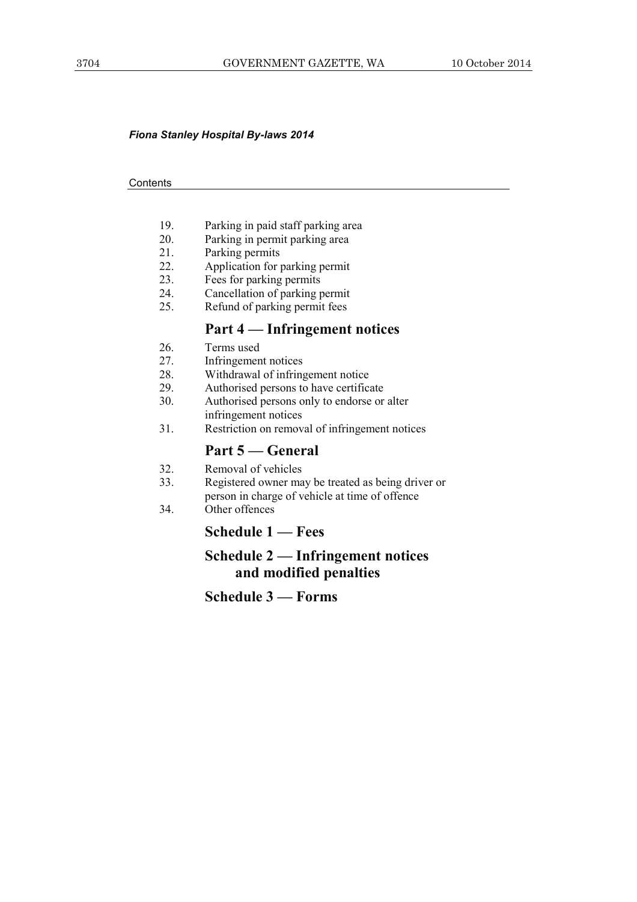#### *Fiona Stanley Hospital By-laws 2014*

#### **Contents**

- 19. Parking in paid staff parking area
- 20. Parking in permit parking area
- 21. Parking permits
- 22. Application for parking permit
- 23. Fees for parking permits
- 24. Cancellation of parking permit
- 25. Refund of parking permit fees

# **Part 4 — Infringement notices**

- 26. Terms used
- 27. Infringement notices
- 28. Withdrawal of infringement notice
- 29. Authorised persons to have certificate
- 30. Authorised persons only to endorse or alter infringement notices
- 31. Restriction on removal of infringement notices

# **Part 5 — General**

- 32. Removal of vehicles
- 33. Registered owner may be treated as being driver or person in charge of vehicle at time of offence
- 34. Other offences

# **Schedule 1 — Fees**

# **Schedule 2 — Infringement notices and modified penalties**

**Schedule 3 — Forms**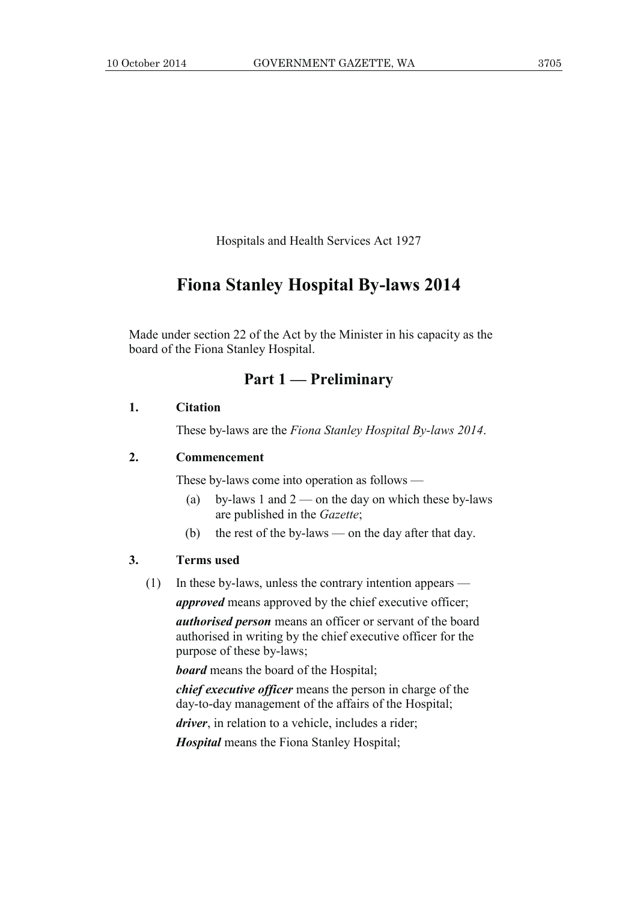Hospitals and Health Services Act 1927

# **Fiona Stanley Hospital By-laws 2014**

Made under section 22 of the Act by the Minister in his capacity as the board of the Fiona Stanley Hospital.

# **Part 1 — Preliminary**

#### **1. Citation**

These by-laws are the *Fiona Stanley Hospital By-laws 2014*.

#### **2. Commencement**

These by-laws come into operation as follows —

- (a) by-laws 1 and  $2$  on the day on which these by-laws are published in the *Gazette*;
- (b) the rest of the by-laws on the day after that day.

#### **3. Terms used**

(1) In these by-laws, unless the contrary intention appears —

*approved* means approved by the chief executive officer;

*authorised person* means an officer or servant of the board authorised in writing by the chief executive officer for the purpose of these by-laws;

*board* means the board of the Hospital;

*chief executive officer* means the person in charge of the day-to-day management of the affairs of the Hospital;

*driver*, in relation to a vehicle, includes a rider;

*Hospital* means the Fiona Stanley Hospital;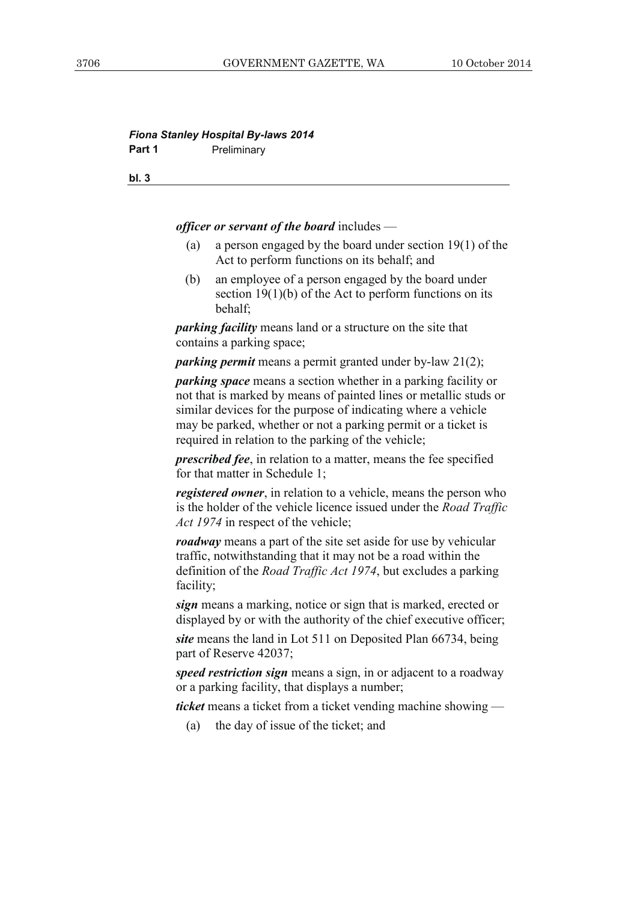#### *Fiona Stanley Hospital By-laws 2014*  **Part 1** Preliminary

**bl. 3**

*officer or servant of the board* includes —

- (a) a person engaged by the board under section 19(1) of the Act to perform functions on its behalf; and
- (b) an employee of a person engaged by the board under section 19(1)(b) of the Act to perform functions on its behalf;

*parking facility* means land or a structure on the site that contains a parking space;

*parking permit* means a permit granted under by-law 21(2);

*parking space* means a section whether in a parking facility or not that is marked by means of painted lines or metallic studs or similar devices for the purpose of indicating where a vehicle may be parked, whether or not a parking permit or a ticket is required in relation to the parking of the vehicle;

*prescribed fee*, in relation to a matter, means the fee specified for that matter in Schedule 1;

*registered owner*, in relation to a vehicle, means the person who is the holder of the vehicle licence issued under the *Road Traffic Act 1974* in respect of the vehicle;

*roadway* means a part of the site set aside for use by vehicular traffic, notwithstanding that it may not be a road within the definition of the *Road Traffic Act 1974*, but excludes a parking facility;

*sign* means a marking, notice or sign that is marked, erected or displayed by or with the authority of the chief executive officer;

*site* means the land in Lot 511 on Deposited Plan 66734, being part of Reserve 42037;

*speed restriction sign* means a sign, in or adjacent to a roadway or a parking facility, that displays a number;

*ticket* means a ticket from a ticket vending machine showing —

(a) the day of issue of the ticket; and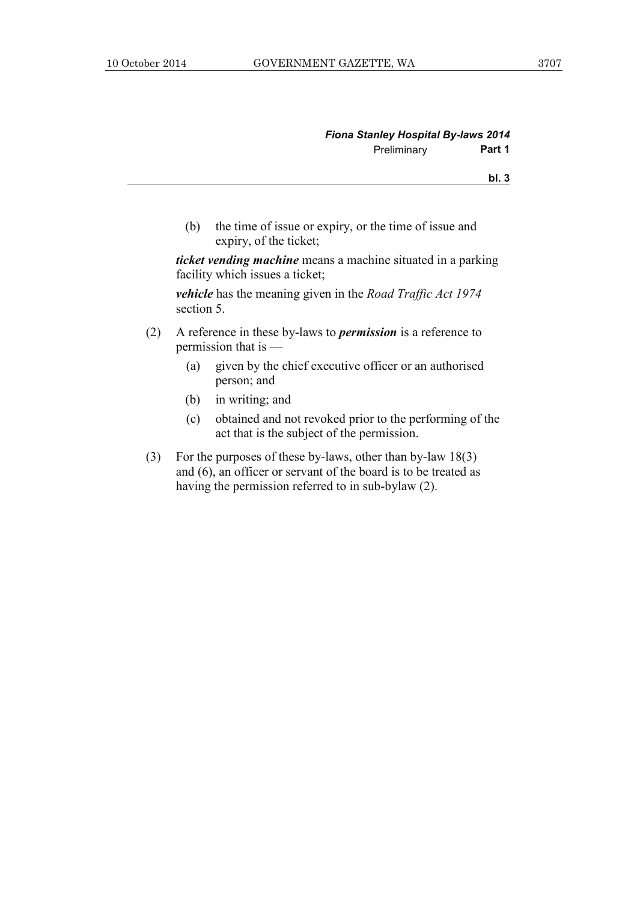**bl. 3**

 (b) the time of issue or expiry, or the time of issue and expiry, of the ticket;

*ticket vending machine* means a machine situated in a parking facility which issues a ticket;

*vehicle* has the meaning given in the *Road Traffic Act 1974* section 5.

- (2) A reference in these by-laws to *permission* is a reference to permission that is —
	- (a) given by the chief executive officer or an authorised person; and
	- (b) in writing; and
	- (c) obtained and not revoked prior to the performing of the act that is the subject of the permission.
- (3) For the purposes of these by-laws, other than by-law 18(3) and (6), an officer or servant of the board is to be treated as having the permission referred to in sub-bylaw (2).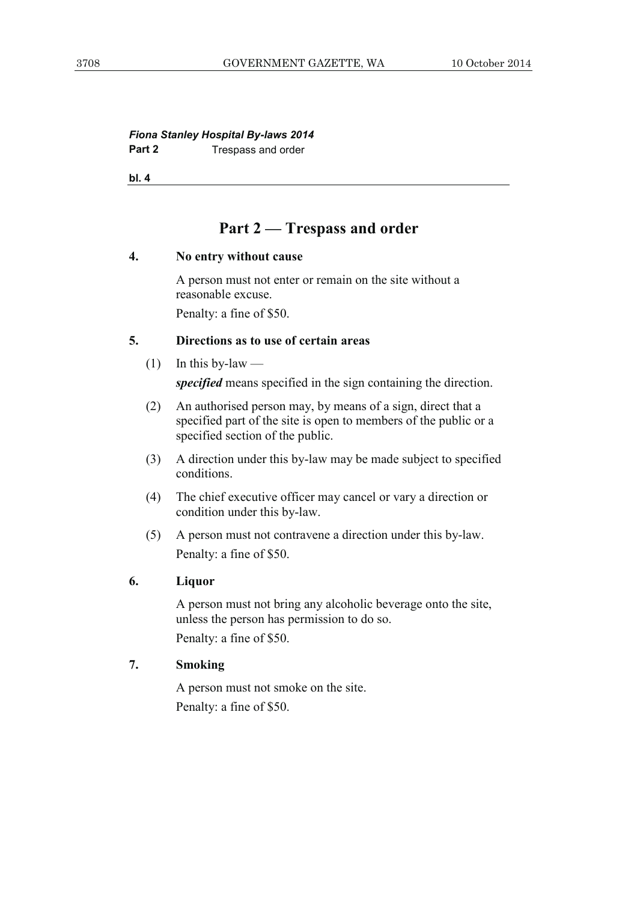# *Fiona Stanley Hospital By-laws 2014*  **Part 2 Trespass and order**

**bl. 4**

# **Part 2 — Trespass and order**

#### **4. No entry without cause**

 A person must not enter or remain on the site without a reasonable excuse.

Penalty: a fine of \$50.

# **5. Directions as to use of certain areas**

 $(1)$  In this by-law —

*specified* means specified in the sign containing the direction.

- (2) An authorised person may, by means of a sign, direct that a specified part of the site is open to members of the public or a specified section of the public.
- (3) A direction under this by-law may be made subject to specified conditions.
- (4) The chief executive officer may cancel or vary a direction or condition under this by-law.
- (5) A person must not contravene a direction under this by-law. Penalty: a fine of \$50.

## **6. Liquor**

 A person must not bring any alcoholic beverage onto the site, unless the person has permission to do so. Penalty: a fine of \$50.

# **7. Smoking**

 A person must not smoke on the site. Penalty: a fine of \$50.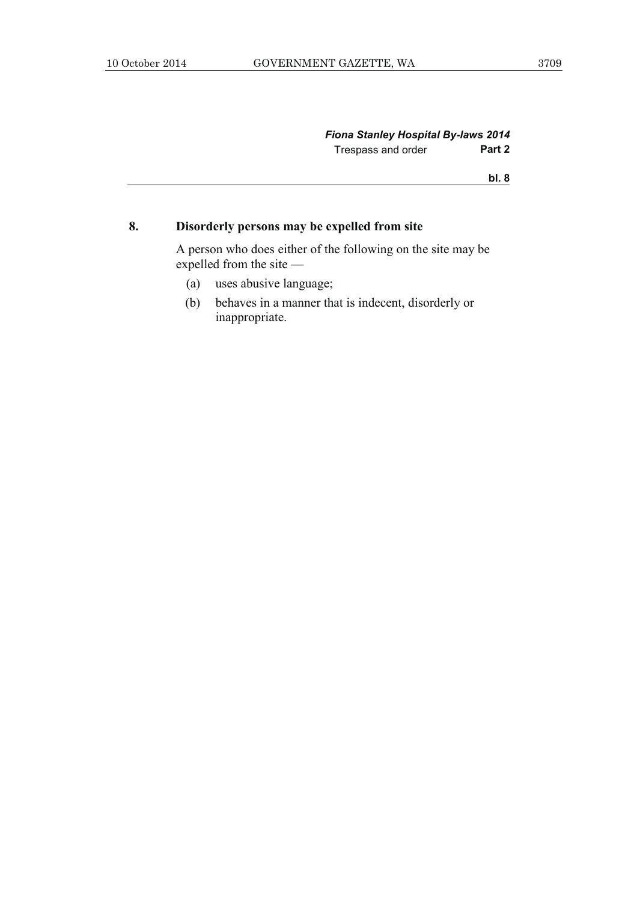#### *Fiona Stanley Hospital By-laws 2014*  Trespass and order **Part 2**

**bl. 8**

# **8. Disorderly persons may be expelled from site**

 A person who does either of the following on the site may be expelled from the site —

- (a) uses abusive language;
- (b) behaves in a manner that is indecent, disorderly or inappropriate.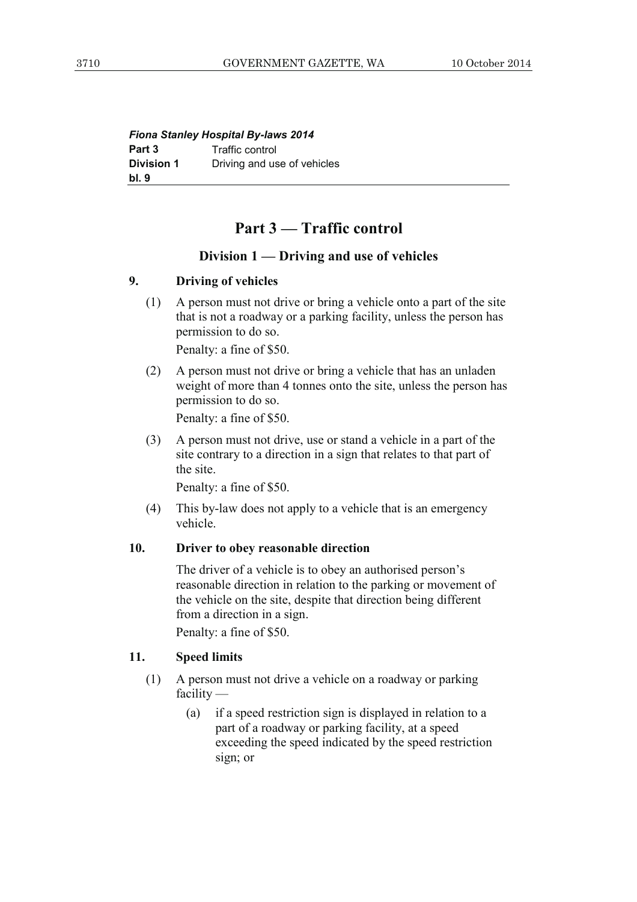| <b>Fiona Stanley Hospital By-laws 2014</b> |                             |  |
|--------------------------------------------|-----------------------------|--|
| Part 3                                     | Traffic control             |  |
| <b>Division 1</b>                          | Driving and use of vehicles |  |
| bl. 9                                      |                             |  |

# **Part 3 — Traffic control**

## **Division 1 — Driving and use of vehicles**

# **9. Driving of vehicles**

 (1) A person must not drive or bring a vehicle onto a part of the site that is not a roadway or a parking facility, unless the person has permission to do so.

Penalty: a fine of \$50.

 (2) A person must not drive or bring a vehicle that has an unladen weight of more than 4 tonnes onto the site, unless the person has permission to do so.

Penalty: a fine of \$50.

 (3) A person must not drive, use or stand a vehicle in a part of the site contrary to a direction in a sign that relates to that part of the site.

Penalty: a fine of \$50.

 (4) This by-law does not apply to a vehicle that is an emergency vehicle.

## **10. Driver to obey reasonable direction**

 The driver of a vehicle is to obey an authorised person's reasonable direction in relation to the parking or movement of the vehicle on the site, despite that direction being different from a direction in a sign.

Penalty: a fine of \$50.

## **11. Speed limits**

- (1) A person must not drive a vehicle on a roadway or parking facility —
	- (a) if a speed restriction sign is displayed in relation to a part of a roadway or parking facility, at a speed exceeding the speed indicated by the speed restriction sign; or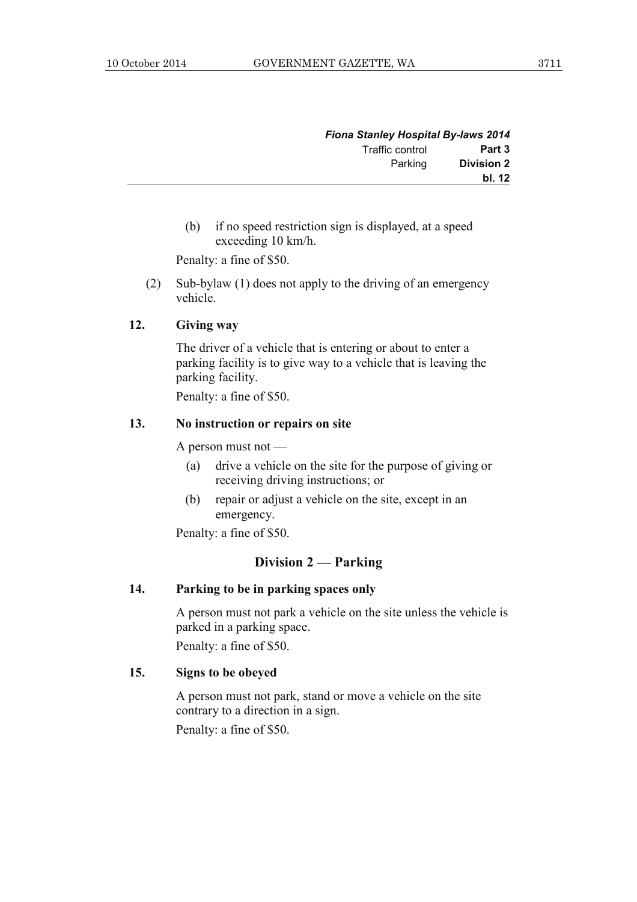|                   | <b>Fiona Stanley Hospital By-laws 2014</b> |
|-------------------|--------------------------------------------|
| Part 3            | Traffic control                            |
| <b>Division 2</b> | Parking                                    |
| bl. 12            |                                            |

 (b) if no speed restriction sign is displayed, at a speed exceeding 10 km/h.

Penalty: a fine of \$50.

 (2) Sub-bylaw (1) does not apply to the driving of an emergency vehicle.

#### **12. Giving way**

 The driver of a vehicle that is entering or about to enter a parking facility is to give way to a vehicle that is leaving the parking facility.

Penalty: a fine of \$50.

# **13. No instruction or repairs on site**

A person must not —

- (a) drive a vehicle on the site for the purpose of giving or receiving driving instructions; or
- (b) repair or adjust a vehicle on the site, except in an emergency.

Penalty: a fine of \$50.

## **Division 2 — Parking**

#### **14. Parking to be in parking spaces only**

 A person must not park a vehicle on the site unless the vehicle is parked in a parking space.

Penalty: a fine of \$50.

## **15. Signs to be obeyed**

 A person must not park, stand or move a vehicle on the site contrary to a direction in a sign.

Penalty: a fine of \$50.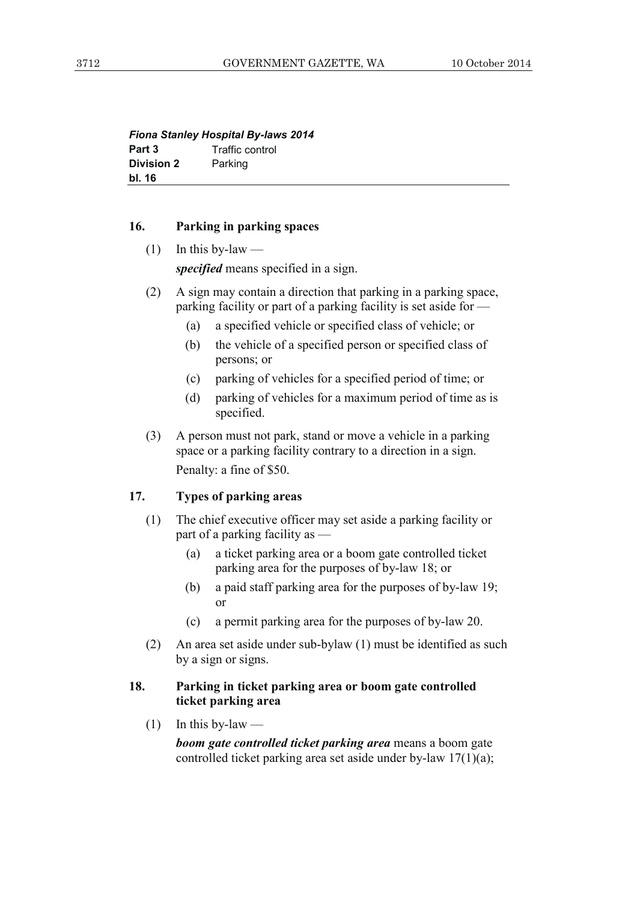| <b>Fiona Stanley Hospital By-laws 2014</b> |                 |  |  |
|--------------------------------------------|-----------------|--|--|
| Part 3                                     | Traffic control |  |  |
| <b>Division 2</b>                          | Parking         |  |  |
| bl. 16                                     |                 |  |  |

#### **16. Parking in parking spaces**

 $(1)$  In this by-law —

*specified* means specified in a sign.

- (2) A sign may contain a direction that parking in a parking space, parking facility or part of a parking facility is set aside for —
	- (a) a specified vehicle or specified class of vehicle; or
	- (b) the vehicle of a specified person or specified class of persons; or
	- (c) parking of vehicles for a specified period of time; or
	- (d) parking of vehicles for a maximum period of time as is specified.
- (3) A person must not park, stand or move a vehicle in a parking space or a parking facility contrary to a direction in a sign. Penalty: a fine of \$50.

## **17. Types of parking areas**

- (1) The chief executive officer may set aside a parking facility or part of a parking facility as —
	- (a) a ticket parking area or a boom gate controlled ticket parking area for the purposes of by-law 18; or
	- (b) a paid staff parking area for the purposes of by-law 19; or
	- (c) a permit parking area for the purposes of by-law 20.
- (2) An area set aside under sub-bylaw (1) must be identified as such by a sign or signs.

# **18. Parking in ticket parking area or boom gate controlled ticket parking area**

 $(1)$  In this by-law —

*boom gate controlled ticket parking area* means a boom gate controlled ticket parking area set aside under by-law 17(1)(a);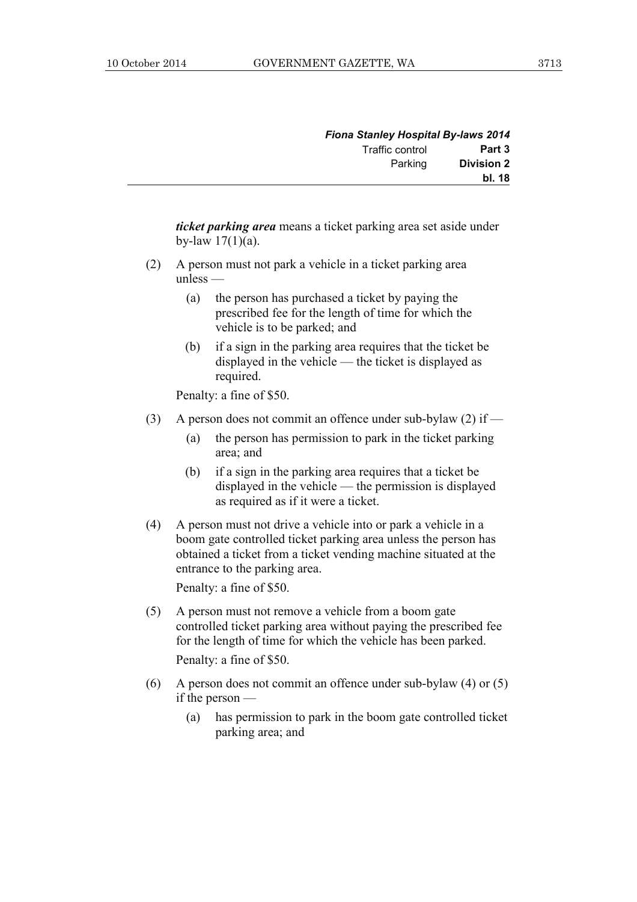| <b>Fiona Stanley Hospital By-laws 2014</b> |                 |  |
|--------------------------------------------|-----------------|--|
| Part 3                                     | Traffic control |  |
| <b>Division 2</b>                          | Parking         |  |
| bl. 18                                     |                 |  |

*ticket parking area* means a ticket parking area set aside under by-law  $17(1)(a)$ .

- (2) A person must not park a vehicle in a ticket parking area unless —
	- (a) the person has purchased a ticket by paying the prescribed fee for the length of time for which the vehicle is to be parked; and
	- (b) if a sign in the parking area requires that the ticket be displayed in the vehicle — the ticket is displayed as required.

Penalty: a fine of \$50.

- (3) A person does not commit an offence under sub-bylaw (2) if
	- (a) the person has permission to park in the ticket parking area; and
	- (b) if a sign in the parking area requires that a ticket be displayed in the vehicle — the permission is displayed as required as if it were a ticket.
- (4) A person must not drive a vehicle into or park a vehicle in a boom gate controlled ticket parking area unless the person has obtained a ticket from a ticket vending machine situated at the entrance to the parking area.

Penalty: a fine of \$50.

 (5) A person must not remove a vehicle from a boom gate controlled ticket parking area without paying the prescribed fee for the length of time for which the vehicle has been parked.

Penalty: a fine of \$50.

- (6) A person does not commit an offence under sub-bylaw (4) or (5) if the person —
	- (a) has permission to park in the boom gate controlled ticket parking area; and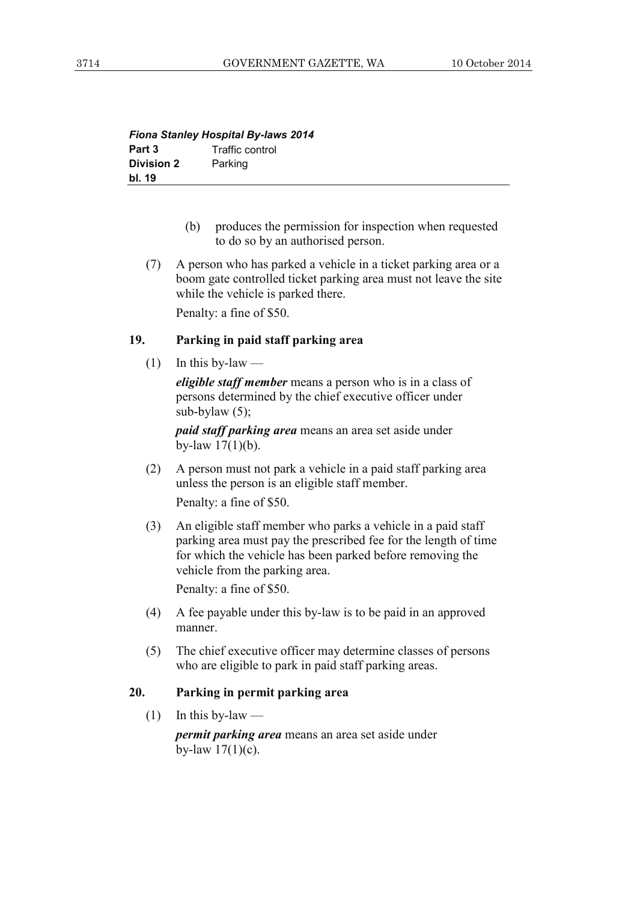| <b>Fiona Stanley Hospital By-laws 2014</b> |                 |  |  |
|--------------------------------------------|-----------------|--|--|
| Part 3                                     | Traffic control |  |  |
| <b>Division 2</b>                          | Parking         |  |  |
| bl. 19                                     |                 |  |  |

- (b) produces the permission for inspection when requested to do so by an authorised person.
- (7) A person who has parked a vehicle in a ticket parking area or a boom gate controlled ticket parking area must not leave the site while the vehicle is parked there.

Penalty: a fine of \$50.

# **19. Parking in paid staff parking area**

 $(1)$  In this by-law —

*eligible staff member* means a person who is in a class of persons determined by the chief executive officer under sub-bylaw  $(5)$ ;

*paid staff parking area* means an area set aside under by-law 17(1)(b).

 (2) A person must not park a vehicle in a paid staff parking area unless the person is an eligible staff member.

Penalty: a fine of \$50.

 (3) An eligible staff member who parks a vehicle in a paid staff parking area must pay the prescribed fee for the length of time for which the vehicle has been parked before removing the vehicle from the parking area.

Penalty: a fine of \$50.

- (4) A fee payable under this by-law is to be paid in an approved manner.
- (5) The chief executive officer may determine classes of persons who are eligible to park in paid staff parking areas.

#### **20. Parking in permit parking area**

 $(1)$  In this by-law —

*permit parking area* means an area set aside under by-law  $17(1)(c)$ .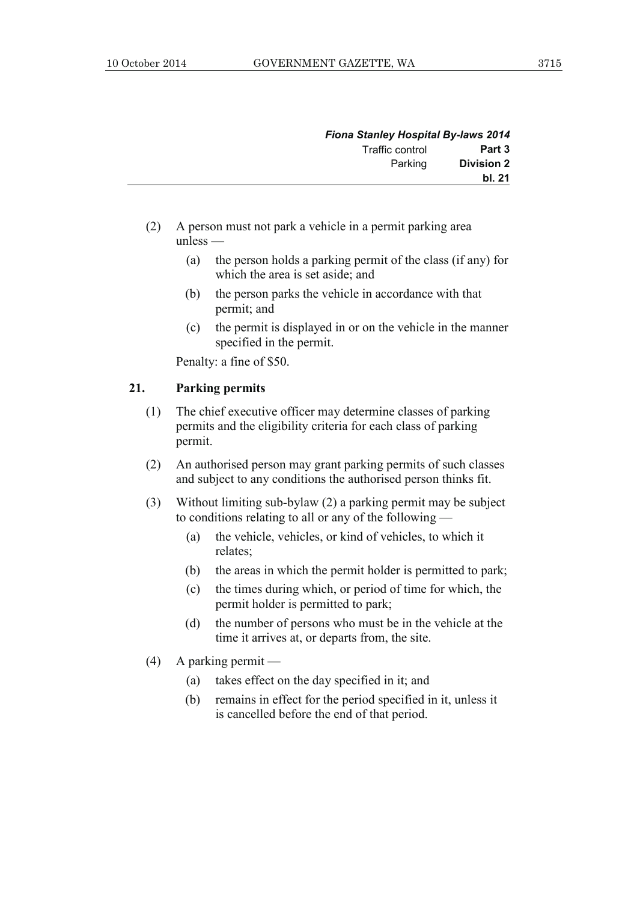| <b>Fiona Stanley Hospital By-laws 2014</b> |                 |  |
|--------------------------------------------|-----------------|--|
| Part 3                                     | Traffic control |  |
| <b>Division 2</b>                          | Parking         |  |
| bl. 21                                     |                 |  |

- (2) A person must not park a vehicle in a permit parking area unless —
	- (a) the person holds a parking permit of the class (if any) for which the area is set aside; and
	- (b) the person parks the vehicle in accordance with that permit; and
	- (c) the permit is displayed in or on the vehicle in the manner specified in the permit.

Penalty: a fine of \$50.

#### **21. Parking permits**

- (1) The chief executive officer may determine classes of parking permits and the eligibility criteria for each class of parking permit.
- (2) An authorised person may grant parking permits of such classes and subject to any conditions the authorised person thinks fit.
- (3) Without limiting sub-bylaw (2) a parking permit may be subject to conditions relating to all or any of the following —
	- (a) the vehicle, vehicles, or kind of vehicles, to which it relates;
	- (b) the areas in which the permit holder is permitted to park;
	- (c) the times during which, or period of time for which, the permit holder is permitted to park;
	- (d) the number of persons who must be in the vehicle at the time it arrives at, or departs from, the site.
- (4) A parking permit
	- (a) takes effect on the day specified in it; and
	- (b) remains in effect for the period specified in it, unless it is cancelled before the end of that period.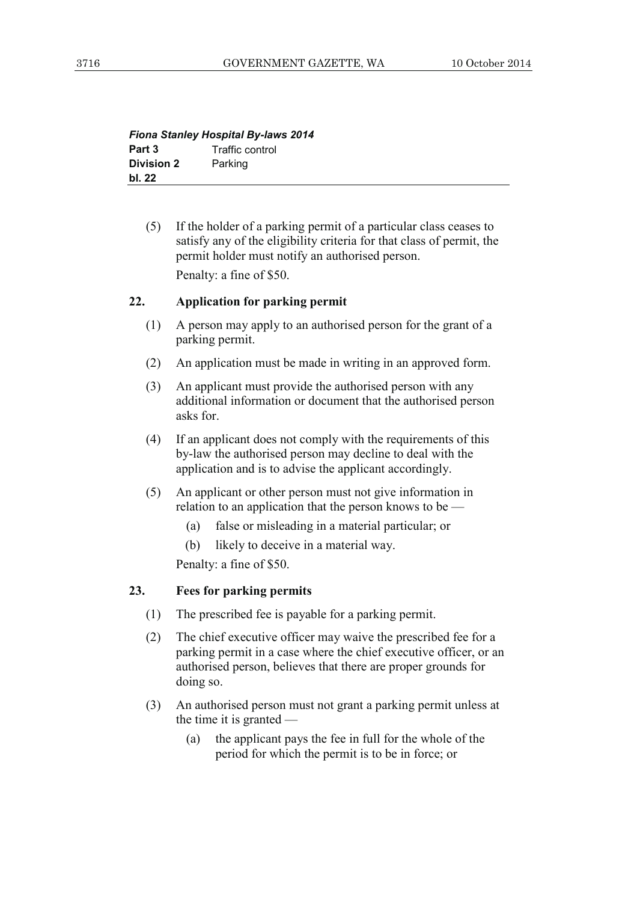| <b>Fiona Stanley Hospital By-laws 2014</b> |                 |  |  |
|--------------------------------------------|-----------------|--|--|
| Part 3                                     | Traffic control |  |  |
| <b>Division 2</b>                          | Parking         |  |  |
| bl. 22                                     |                 |  |  |

 (5) If the holder of a parking permit of a particular class ceases to satisfy any of the eligibility criteria for that class of permit, the permit holder must notify an authorised person. Penalty: a fine of \$50.

## **22. Application for parking permit**

- (1) A person may apply to an authorised person for the grant of a parking permit.
- (2) An application must be made in writing in an approved form.
- (3) An applicant must provide the authorised person with any additional information or document that the authorised person asks for.
- (4) If an applicant does not comply with the requirements of this by-law the authorised person may decline to deal with the application and is to advise the applicant accordingly.
- (5) An applicant or other person must not give information in relation to an application that the person knows to be —
	- (a) false or misleading in a material particular; or
	- (b) likely to deceive in a material way.

Penalty: a fine of \$50.

#### **23. Fees for parking permits**

- (1) The prescribed fee is payable for a parking permit.
- (2) The chief executive officer may waive the prescribed fee for a parking permit in a case where the chief executive officer, or an authorised person, believes that there are proper grounds for doing so.
- (3) An authorised person must not grant a parking permit unless at the time it is granted —
	- (a) the applicant pays the fee in full for the whole of the period for which the permit is to be in force; or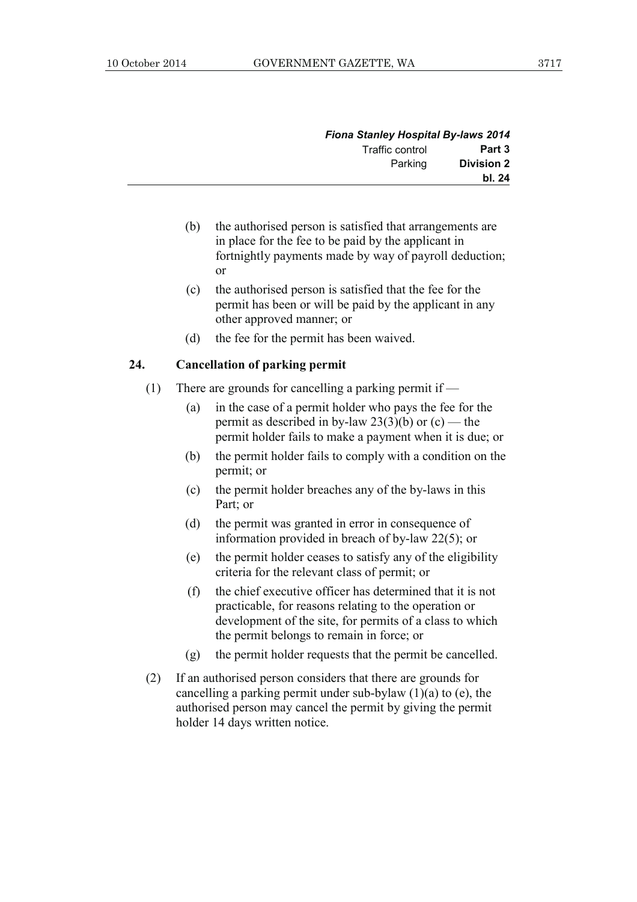| <b>Fiona Stanley Hospital By-laws 2014</b> |                 |  |
|--------------------------------------------|-----------------|--|
| Part 3                                     | Traffic control |  |
| <b>Division 2</b>                          | Parking         |  |
| bl. 24                                     |                 |  |

- (b) the authorised person is satisfied that arrangements are in place for the fee to be paid by the applicant in fortnightly payments made by way of payroll deduction; or
- (c) the authorised person is satisfied that the fee for the permit has been or will be paid by the applicant in any other approved manner; or
- (d) the fee for the permit has been waived.

## **24. Cancellation of parking permit**

- (1) There are grounds for cancelling a parking permit if
	- (a) in the case of a permit holder who pays the fee for the permit as described in by-law  $23(3)(b)$  or  $(c)$  — the permit holder fails to make a payment when it is due; or
	- (b) the permit holder fails to comply with a condition on the permit; or
	- (c) the permit holder breaches any of the by-laws in this Part; or
	- (d) the permit was granted in error in consequence of information provided in breach of by-law 22(5); or
	- (e) the permit holder ceases to satisfy any of the eligibility criteria for the relevant class of permit; or
	- (f) the chief executive officer has determined that it is not practicable, for reasons relating to the operation or development of the site, for permits of a class to which the permit belongs to remain in force; or
	- (g) the permit holder requests that the permit be cancelled.
- (2) If an authorised person considers that there are grounds for cancelling a parking permit under sub-bylaw  $(1)(a)$  to  $(e)$ , the authorised person may cancel the permit by giving the permit holder 14 days written notice.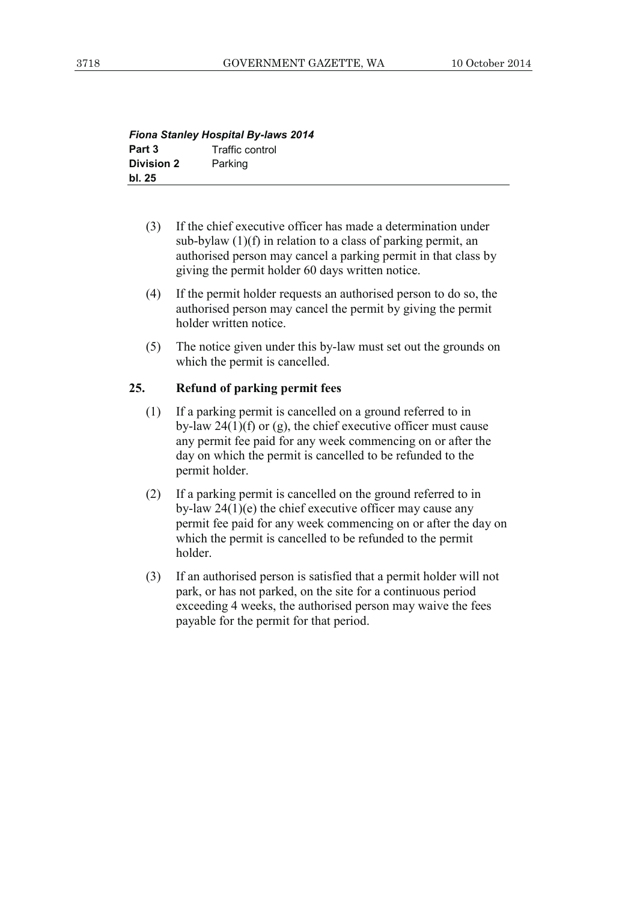| <b>Fiona Stanley Hospital By-laws 2014</b> |                 |  |  |
|--------------------------------------------|-----------------|--|--|
| Part 3                                     | Traffic control |  |  |
| <b>Division 2</b>                          | Parking         |  |  |
| bl. 25                                     |                 |  |  |

- (3) If the chief executive officer has made a determination under sub-bylaw (1)(f) in relation to a class of parking permit, an authorised person may cancel a parking permit in that class by giving the permit holder 60 days written notice.
- (4) If the permit holder requests an authorised person to do so, the authorised person may cancel the permit by giving the permit holder written notice.
- (5) The notice given under this by-law must set out the grounds on which the permit is cancelled.

#### **25. Refund of parking permit fees**

- (1) If a parking permit is cancelled on a ground referred to in by-law  $24(1)(f)$  or (g), the chief executive officer must cause any permit fee paid for any week commencing on or after the day on which the permit is cancelled to be refunded to the permit holder.
- (2) If a parking permit is cancelled on the ground referred to in by-law 24(1)(e) the chief executive officer may cause any permit fee paid for any week commencing on or after the day on which the permit is cancelled to be refunded to the permit holder.
- (3) If an authorised person is satisfied that a permit holder will not park, or has not parked, on the site for a continuous period exceeding 4 weeks, the authorised person may waive the fees payable for the permit for that period.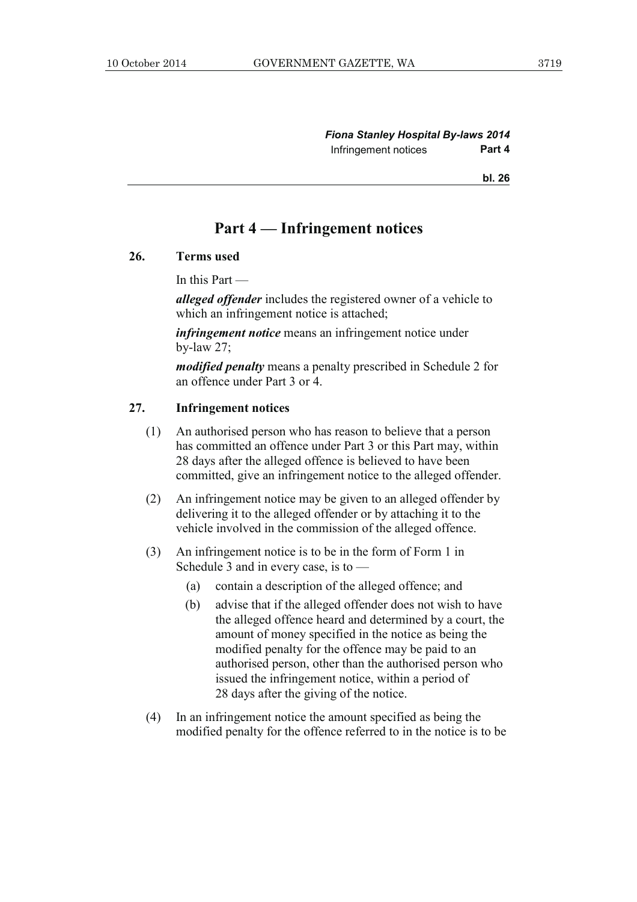**bl. 26**

# **Part 4 — Infringement notices**

#### **26. Terms used**

In this Part —

*alleged offender* includes the registered owner of a vehicle to which an infringement notice is attached;

*infringement notice* means an infringement notice under by-law 27;

*modified penalty* means a penalty prescribed in Schedule 2 for an offence under Part 3 or 4.

# **27. Infringement notices**

- (1) An authorised person who has reason to believe that a person has committed an offence under Part 3 or this Part may, within 28 days after the alleged offence is believed to have been committed, give an infringement notice to the alleged offender.
- (2) An infringement notice may be given to an alleged offender by delivering it to the alleged offender or by attaching it to the vehicle involved in the commission of the alleged offence.
- (3) An infringement notice is to be in the form of Form 1 in Schedule 3 and in every case, is to —
	- (a) contain a description of the alleged offence; and
	- (b) advise that if the alleged offender does not wish to have the alleged offence heard and determined by a court, the amount of money specified in the notice as being the modified penalty for the offence may be paid to an authorised person, other than the authorised person who issued the infringement notice, within a period of 28 days after the giving of the notice.
- (4) In an infringement notice the amount specified as being the modified penalty for the offence referred to in the notice is to be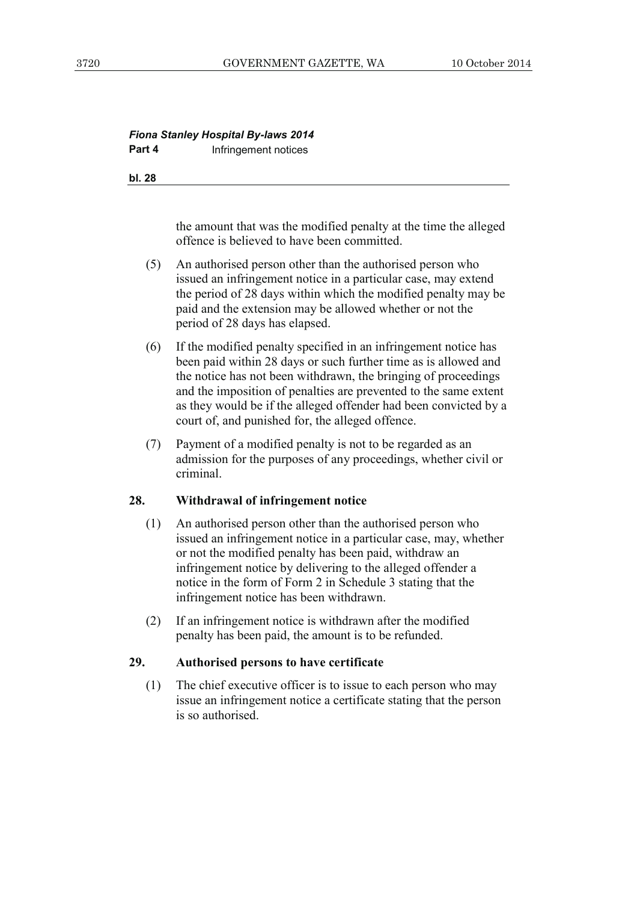## *Fiona Stanley Hospital By-laws 2014*  **Part 4 Infringement notices**

**bl. 28**

the amount that was the modified penalty at the time the alleged offence is believed to have been committed.

- (5) An authorised person other than the authorised person who issued an infringement notice in a particular case, may extend the period of 28 days within which the modified penalty may be paid and the extension may be allowed whether or not the period of 28 days has elapsed.
- (6) If the modified penalty specified in an infringement notice has been paid within 28 days or such further time as is allowed and the notice has not been withdrawn, the bringing of proceedings and the imposition of penalties are prevented to the same extent as they would be if the alleged offender had been convicted by a court of, and punished for, the alleged offence.
- (7) Payment of a modified penalty is not to be regarded as an admission for the purposes of any proceedings, whether civil or criminal.

## **28. Withdrawal of infringement notice**

- (1) An authorised person other than the authorised person who issued an infringement notice in a particular case, may, whether or not the modified penalty has been paid, withdraw an infringement notice by delivering to the alleged offender a notice in the form of Form 2 in Schedule 3 stating that the infringement notice has been withdrawn.
- (2) If an infringement notice is withdrawn after the modified penalty has been paid, the amount is to be refunded.

# **29. Authorised persons to have certificate**

 (1) The chief executive officer is to issue to each person who may issue an infringement notice a certificate stating that the person is so authorised.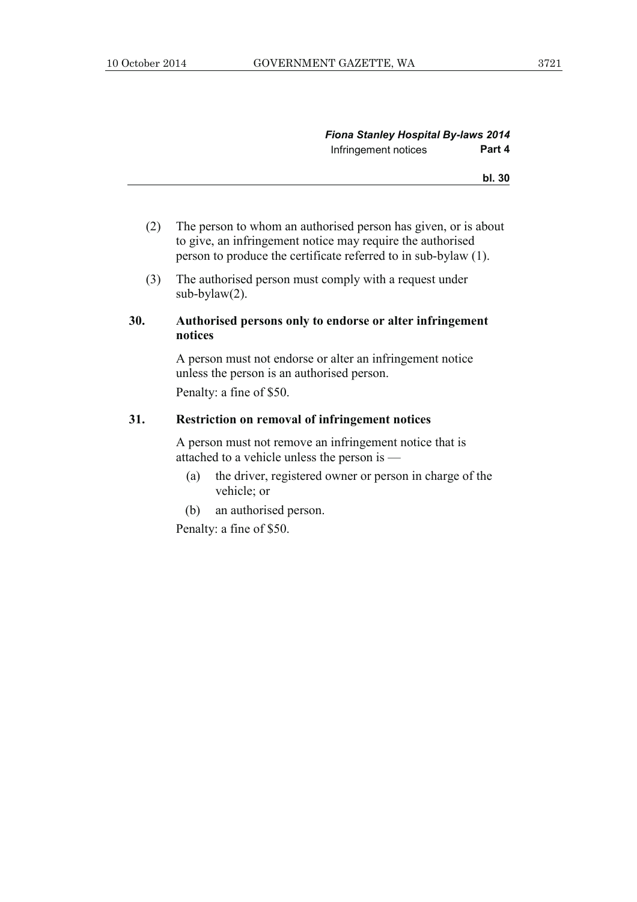#### **bl. 30**

- (2) The person to whom an authorised person has given, or is about to give, an infringement notice may require the authorised person to produce the certificate referred to in sub-bylaw (1).
- (3) The authorised person must comply with a request under sub-bylaw(2).

## **30. Authorised persons only to endorse or alter infringement notices**

 A person must not endorse or alter an infringement notice unless the person is an authorised person. Penalty: a fine of \$50.

#### **31. Restriction on removal of infringement notices**

 A person must not remove an infringement notice that is attached to a vehicle unless the person is —

- (a) the driver, registered owner or person in charge of the vehicle; or
- (b) an authorised person.

Penalty: a fine of \$50.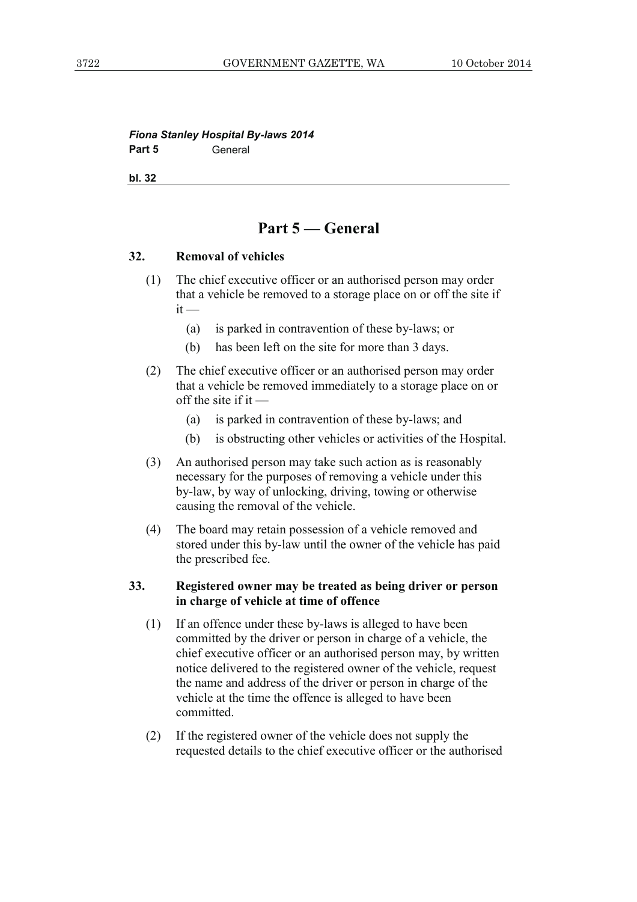#### *Fiona Stanley Hospital By-laws 2014*  **Part 5** General

**bl. 32**

# **Part 5 — General**

#### **32. Removal of vehicles**

- (1) The chief executive officer or an authorised person may order that a vehicle be removed to a storage place on or off the site if  $it -$ 
	- (a) is parked in contravention of these by-laws; or
	- (b) has been left on the site for more than 3 days.
- (2) The chief executive officer or an authorised person may order that a vehicle be removed immediately to a storage place on or off the site if it  $-$ 
	- (a) is parked in contravention of these by-laws; and
	- (b) is obstructing other vehicles or activities of the Hospital.
- (3) An authorised person may take such action as is reasonably necessary for the purposes of removing a vehicle under this by-law, by way of unlocking, driving, towing or otherwise causing the removal of the vehicle.
- (4) The board may retain possession of a vehicle removed and stored under this by-law until the owner of the vehicle has paid the prescribed fee.

#### **33. Registered owner may be treated as being driver or person in charge of vehicle at time of offence**

- (1) If an offence under these by-laws is alleged to have been committed by the driver or person in charge of a vehicle, the chief executive officer or an authorised person may, by written notice delivered to the registered owner of the vehicle, request the name and address of the driver or person in charge of the vehicle at the time the offence is alleged to have been committed.
- (2) If the registered owner of the vehicle does not supply the requested details to the chief executive officer or the authorised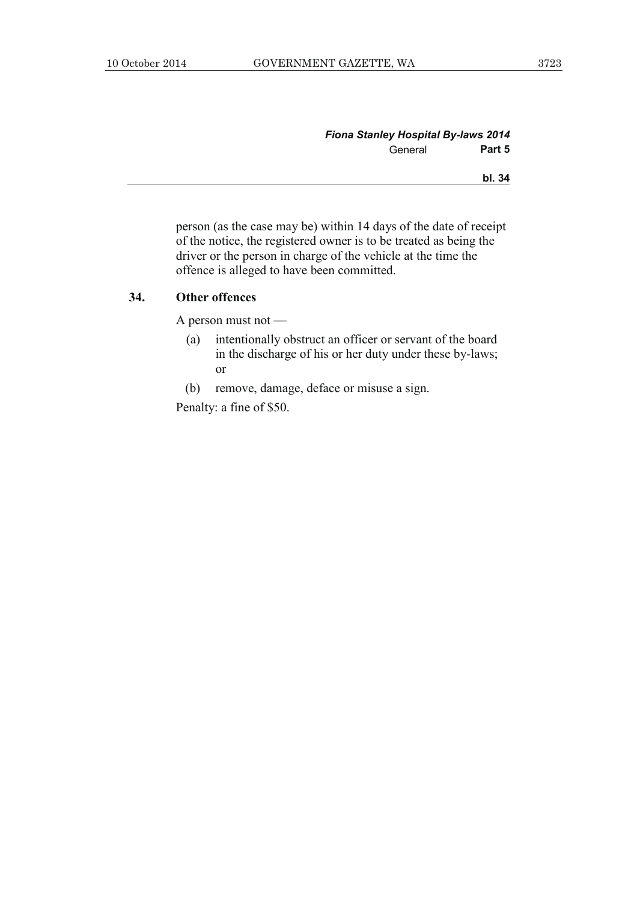| <b>Fiona Stanley Hospital By-laws 2014</b> |        |
|--------------------------------------------|--------|
| General                                    | Part 5 |
|                                            | bl. 34 |

person (as the case may be) within 14 days of the date of receipt of the notice, the registered owner is to be treated as being the driver or the person in charge of the vehicle at the time the offence is alleged to have been committed.

#### **34. Other offences**

A person must not —

- (a) intentionally obstruct an officer or servant of the board in the discharge of his or her duty under these by-laws; or
- (b) remove, damage, deface or misuse a sign.

Penalty: a fine of \$50.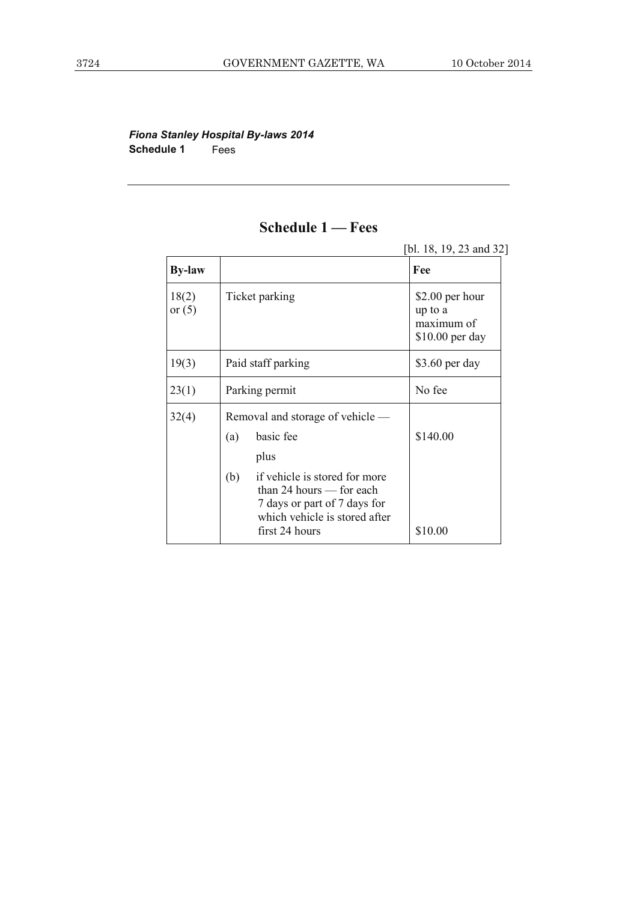# *Fiona Stanley Hospital By-laws 2014*  **Schedule 1** Fees

# **Schedule 1 — Fees**

|                   |                                                                                                                                                       | [bl. 18, 19, 23 and 32]                                      |
|-------------------|-------------------------------------------------------------------------------------------------------------------------------------------------------|--------------------------------------------------------------|
| <b>By-law</b>     |                                                                                                                                                       | Fee                                                          |
| 18(2)<br>or $(5)$ | Ticket parking                                                                                                                                        | \$2.00 per hour<br>up to a<br>maximum of<br>$$10.00$ per day |
| 19(3)             | Paid staff parking                                                                                                                                    | \$3.60 per day                                               |
| 23(1)             | Parking permit                                                                                                                                        | No fee                                                       |
| 32(4)             | Removal and storage of vehicle —                                                                                                                      |                                                              |
|                   | basic fee<br>(a)<br>plus                                                                                                                              | \$140.00                                                     |
|                   | if vehicle is stored for more<br>(b)<br>than 24 hours $-$ for each<br>7 days or part of 7 days for<br>which vehicle is stored after<br>first 24 hours | \$10.00                                                      |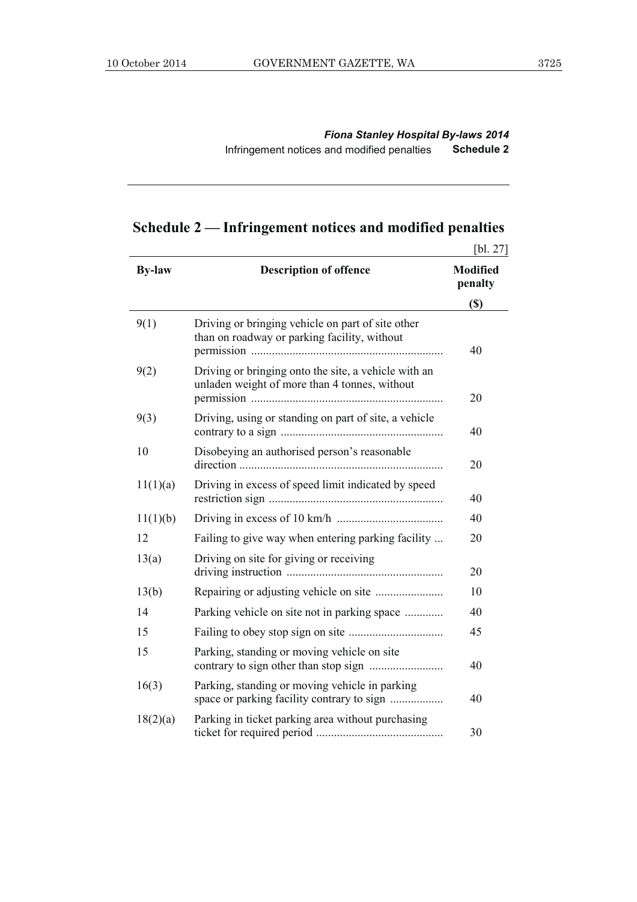*Fiona Stanley Hospital By-laws 2014*  Infringement notices and modified penalties **Schedule 2**

# **Schedule 2 — Infringement notices and modified penalties**

|               |                                                                                                       | [bl. 27]                   |
|---------------|-------------------------------------------------------------------------------------------------------|----------------------------|
| <b>By-law</b> | <b>Description of offence</b>                                                                         | <b>Modified</b><br>penalty |
|               |                                                                                                       | <b>(\$)</b>                |
| 9(1)          | Driving or bringing vehicle on part of site other<br>than on roadway or parking facility, without     | 40                         |
| 9(2)          | Driving or bringing onto the site, a vehicle with an<br>unladen weight of more than 4 tonnes, without | 20                         |
| 9(3)          | Driving, using or standing on part of site, a vehicle                                                 | 40                         |
| 10            | Disobeying an authorised person's reasonable                                                          | 20                         |
| 11(1)(a)      | Driving in excess of speed limit indicated by speed                                                   | 40                         |
| 11(1)(b)      |                                                                                                       | 40                         |
| 12            | Failing to give way when entering parking facility                                                    | 20                         |
| 13(a)         | Driving on site for giving or receiving                                                               | 20                         |
| 13(b)         |                                                                                                       | 10                         |
| 14            | Parking vehicle on site not in parking space                                                          | 40                         |
| 15            |                                                                                                       | 45                         |
| 15            | Parking, standing or moving vehicle on site                                                           | 40                         |
| 16(3)         | Parking, standing or moving vehicle in parking<br>space or parking facility contrary to sign          | 40                         |
| 18(2)(a)      | Parking in ticket parking area without purchasing                                                     | 30                         |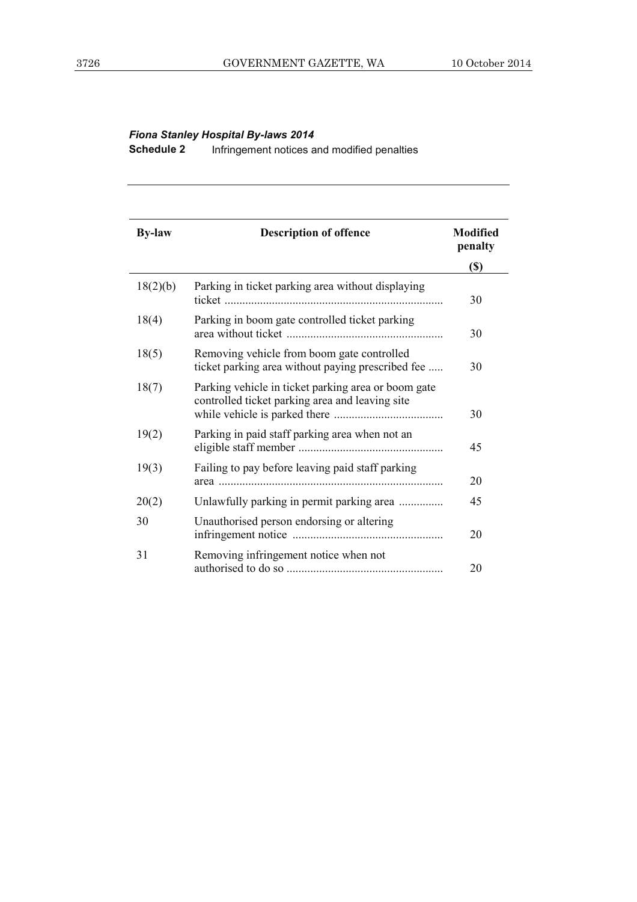# *Fiona Stanley Hospital By-laws 2014*

**Schedule 2** Infringement notices and modified penalties

| <b>By-law</b> | <b>Description of offence</b>                                                                          | <b>Modified</b><br>penalty |
|---------------|--------------------------------------------------------------------------------------------------------|----------------------------|
|               |                                                                                                        | $(\$)$                     |
| 18(2)(b)      | Parking in ticket parking area without displaying                                                      | 30                         |
| 18(4)         | Parking in boom gate controlled ticket parking                                                         | 30                         |
| 18(5)         | Removing vehicle from boom gate controlled<br>ticket parking area without paying prescribed fee        | 30                         |
| 18(7)         | Parking vehicle in ticket parking area or boom gate<br>controlled ticket parking area and leaving site | 30                         |
| 19(2)         | Parking in paid staff parking area when not an                                                         | 45                         |
| 19(3)         | Failing to pay before leaving paid staff parking                                                       | 20                         |
| 20(2)         | Unlawfully parking in permit parking area                                                              | 45                         |
| 30            | Unauthorised person endorsing or altering                                                              | 20                         |
| 31            | Removing infringement notice when not                                                                  | 20                         |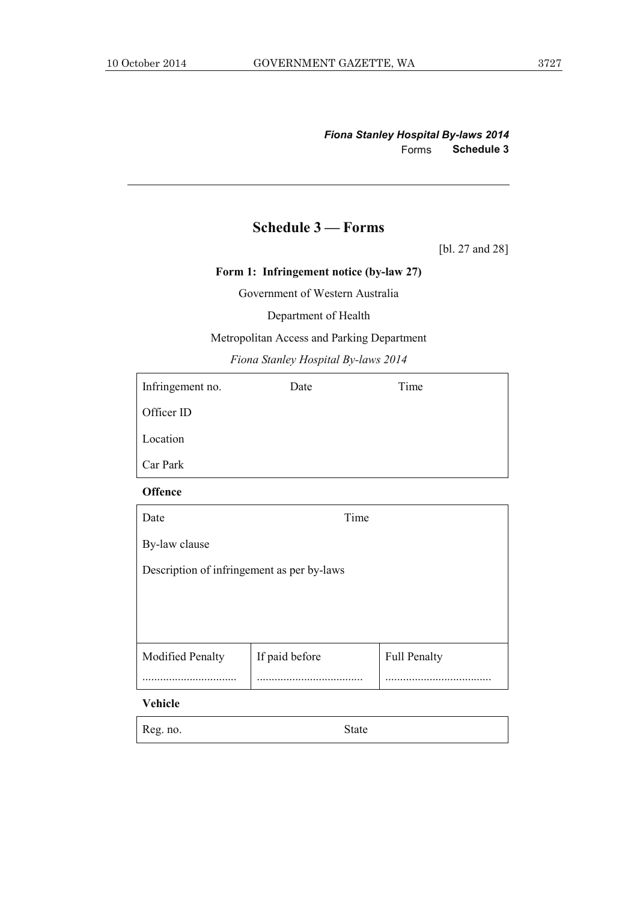# **Schedule 3 — Forms**

[bl. 27 and 28]

**Form 1: Infringement notice (by-law 27)** 

Government of Western Australia

Department of Health

Metropolitan Access and Parking Department

*Fiona Stanley Hospital By-laws 2014* 

| Infringement no. | Date | Time |
|------------------|------|------|
| Officer ID       |      |      |
| Location         |      |      |
| Car Park         |      |      |

#### **Offence**

| Date                                       | Time           |                     |  |  |  |  |
|--------------------------------------------|----------------|---------------------|--|--|--|--|
| By-law clause                              |                |                     |  |  |  |  |
| Description of infringement as per by-laws |                |                     |  |  |  |  |
|                                            |                |                     |  |  |  |  |
|                                            |                |                     |  |  |  |  |
| <b>Modified Penalty</b>                    | If paid before | <b>Full Penalty</b> |  |  |  |  |
|                                            |                |                     |  |  |  |  |

# **Vehicle**

| Reg. no. | <b>State</b> |
|----------|--------------|
|          |              |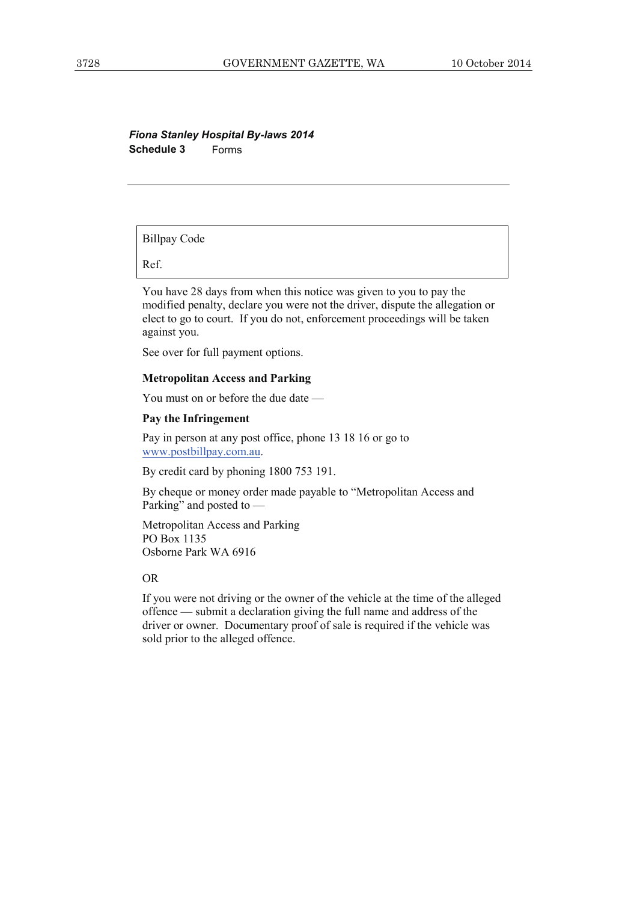# *Fiona Stanley Hospital By-laws 2014*  **Schedule 3** Forms

Billpay Code

Ref.

You have 28 days from when this notice was given to you to pay the modified penalty, declare you were not the driver, dispute the allegation or elect to go to court. If you do not, enforcement proceedings will be taken against you.

See over for full payment options.

#### **Metropolitan Access and Parking**

You must on or before the due date —

#### **Pay the Infringement**

Pay in person at any post office, phone 13 18 16 or go to www.postbillpay.com.au.

By credit card by phoning 1800 753 191.

By cheque or money order made payable to "Metropolitan Access and Parking" and posted to —

Metropolitan Access and Parking PO Box 1135 Osborne Park WA 6916

#### OR

If you were not driving or the owner of the vehicle at the time of the alleged offence — submit a declaration giving the full name and address of the driver or owner. Documentary proof of sale is required if the vehicle was sold prior to the alleged offence.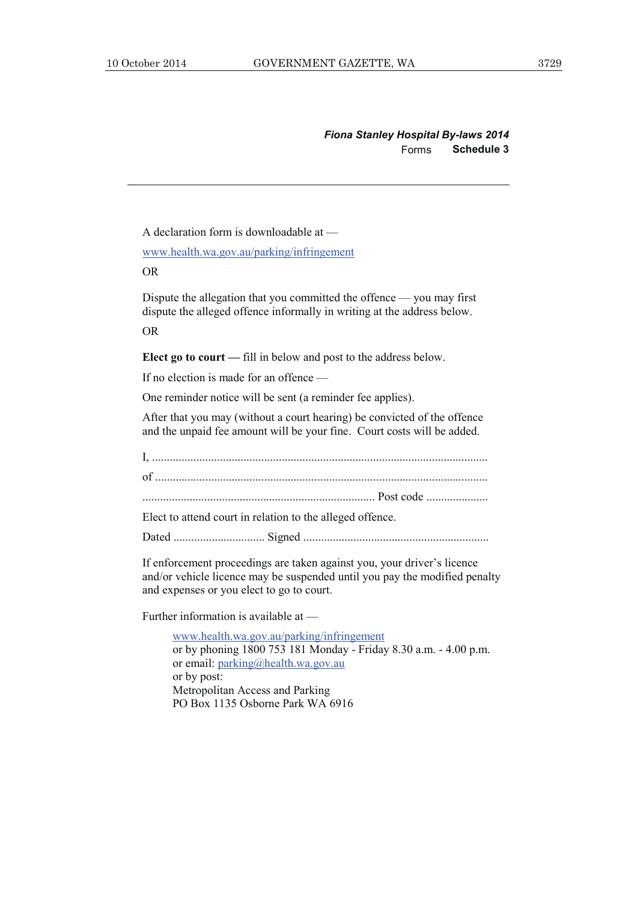*Fiona Stanley Hospital By-laws 2014*  Forms **Schedule 3**

A declaration form is downloadable at —

www.health.wa.gov.au/parking/infringement

OR

Dispute the allegation that you committed the offence — you may first dispute the alleged offence informally in writing at the address below.

OR

**Elect go to court —** fill in below and post to the address below.

If no election is made for an offence —

One reminder notice will be sent (a reminder fee applies).

After that you may (without a court hearing) be convicted of the offence and the unpaid fee amount will be your fine. Court costs will be added.

I, .................................................................................................................. of ................................................................................................................. ............................................................................... Post code ..................... Elect to attend court in relation to the alleged offence. Dated ............................... Signed ...............................................................

If enforcement proceedings are taken against you, your driver's licence and/or vehicle licence may be suspended until you pay the modified penalty and expenses or you elect to go to court.

Further information is available at —

www.health.wa.gov.au/parking/infringement or by phoning 1800 753 181 Monday - Friday 8.30 a.m. - 4.00 p.m. or email: parking@health.wa.gov.au or by post: Metropolitan Access and Parking PO Box 1135 Osborne Park WA 6916